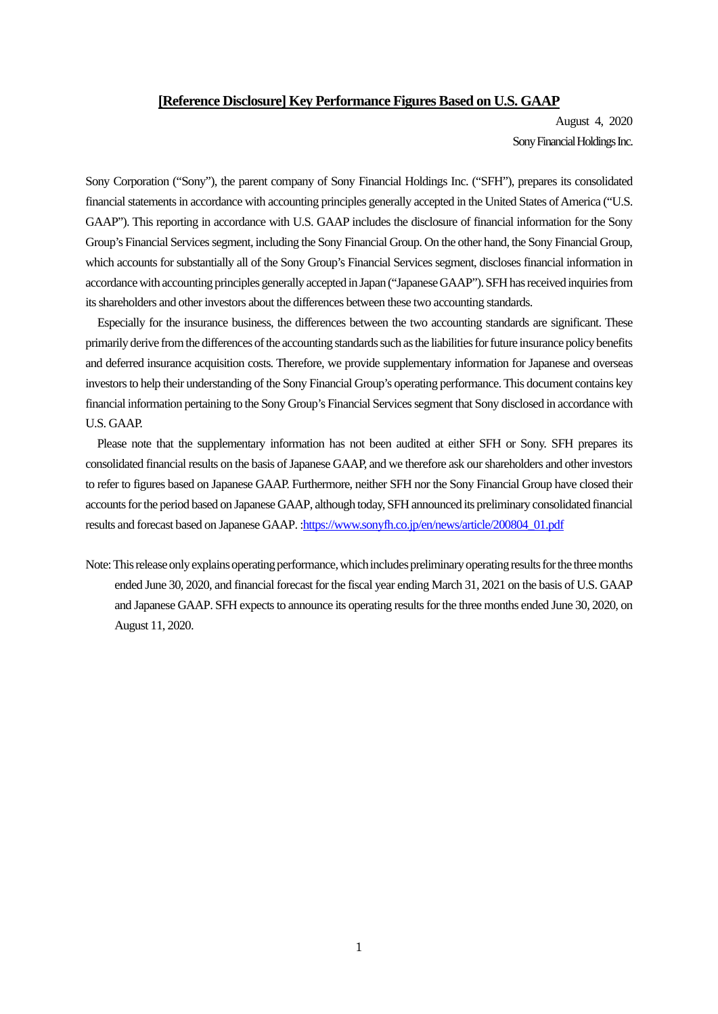## **[Reference Disclosure] Key Performance Figures Based on U.S. GAAP**

August 4, 2020 Sony Financial Holdings Inc.

Sony Corporation ("Sony"), the parent company of Sony Financial Holdings Inc. ("SFH"), prepares its consolidated financial statements in accordance with accounting principles generally accepted in the United States of America ("U.S. GAAP"). This reporting in accordance with U.S. GAAP includes the disclosure of financial information for the Sony Group's Financial Services segment, including the Sony Financial Group. On the other hand, the Sony Financial Group, which accounts for substantially all of the Sony Group's Financial Services segment, discloses financial information in accordance with accounting principles generally accepted in Japan ("Japanese GAAP"). SFH has received inquiries from its shareholders and other investors about the differences between these two accounting standards.

Especially for the insurance business, the differences between the two accounting standards are significant. These primarily derive from the differences of the accounting standards such as the liabilities for future insurance policy benefits and deferred insurance acquisition costs. Therefore, we provide supplementary information for Japanese and overseas investors to help their understanding of the Sony Financial Group's operating performance. This document contains key financial information pertaining to the Sony Group's Financial Services segment that Sony disclosed in accordance with U.S. GAAP.

Please note that the supplementary information has not been audited at either SFH or Sony. SFH prepares its consolidated financial results on the basis of Japanese GAAP, and we therefore ask our shareholders and other investors to refer to figures based on Japanese GAAP. Furthermore, neither SFH nor the Sony Financial Group have closed their accounts for the period based on Japanese GAAP, although today, SFH announced its preliminary consolidated financial results and forecast based on Japanese GAAP. :https://www.sonyfh.co.jp/en/news/article/200804\_01.pdf

Note: This release only explains operating performance, which includes preliminary operating results for the three months ended June 30, 2020, and financial forecast for the fiscal year ending March 31, 2021 on the basis of U.S. GAAP and Japanese GAAP. SFH expects to announce its operating results for the three months ended June 30, 2020, on August 11, 2020.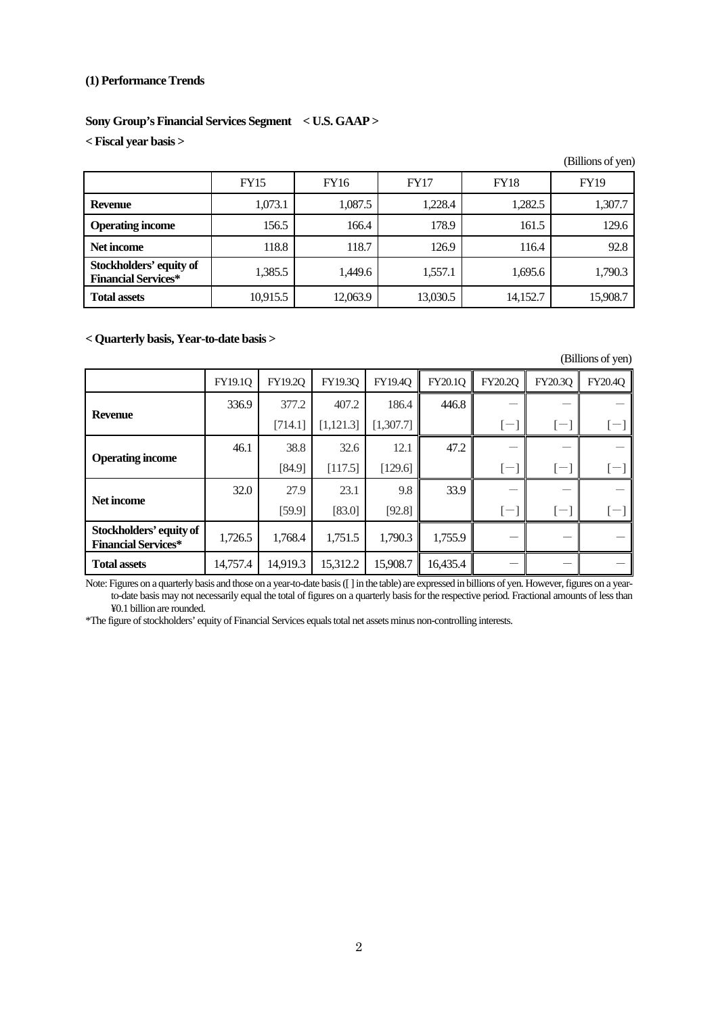# **(1) Performance Trends**

# **Sony Group's Financial Services Segment < U.S. GAAP >**

**< Fiscal year basis >** 

|                                                       |             |             |             |             | (Billions of yen) |
|-------------------------------------------------------|-------------|-------------|-------------|-------------|-------------------|
|                                                       | <b>FY15</b> | <b>FY16</b> | <b>FY17</b> | <b>FY18</b> | <b>FY19</b>       |
| <b>Revenue</b>                                        | 1,073.1     | 1,087.5     | 1,228.4     | 1,282.5     | 1,307.7           |
| <b>Operating income</b>                               | 156.5       | 166.4       | 178.9       | 161.5       | 129.6             |
| Net income                                            | 118.8       | 118.7       | 126.9       | 116.4       | 92.8              |
| Stockholders' equity of<br><b>Financial Services*</b> | 1,385.5     | 1,449.6     | 1,557.1     | 1,695.6     | 1,790.3           |
| <b>Total assets</b>                                   | 10,915.5    | 12,063.9    | 13,030.5    | 14,152.7    | 15,908.7          |

# **< Quarterly basis, Year-to-date basis >**

|                                                       |                |          |            |           |          |                             |                | (Billions of yen) |
|-------------------------------------------------------|----------------|----------|------------|-----------|----------|-----------------------------|----------------|-------------------|
|                                                       | <b>FY19.1Q</b> | FY19.2Q  | FY19.3Q    | FY19.40   | FY20.1Q  | FY20.2Q                     | <b>FY20.3Q</b> | <b>FY20.4O</b>    |
|                                                       | 336.9          | 377.2    | 407.2      | 186.4     | 446.8    |                             |                |                   |
| <b>Revenue</b>                                        |                | [714.1]  | [1, 121.3] | [1,307.7] |          | $\mathsf{l}$ – $\mathsf{l}$ | $[-]$          | $[-]$             |
| <b>Operating income</b>                               | 46.1           | 38.8     | 32.6       | 12.1      | 47.2     |                             |                |                   |
|                                                       |                | [84.9]   | [117.5]    | [129.6]   |          | $\vert$ $-$                 | $\vdash$       | $\vert$ $-$       |
| Net income                                            | 32.0           | 27.9     | 23.1       | 9.8       | 33.9     |                             |                |                   |
|                                                       |                | [59.9]   | [83.0]     | [92.8]    |          | l-.                         | $ - $          | $\vdash$          |
| Stockholders' equity of<br><b>Financial Services*</b> | 1,726.5        | 1,768.4  | 1,751.5    | 1,790.3   | 1,755.9  |                             |                |                   |
| <b>Total assets</b>                                   | 14,757.4       | 14,919.3 | 15,312.2   | 15,908.7  | 16,435.4 |                             |                |                   |

Note: Figures on a quarterly basis and those on a year-to-date basis ([ ] in the table) are expressed in billions of yen. However, figures on a yearto-date basis may not necessarily equal the total of figures on a quarterly basis for the respective period. Fractional amounts of less than ¥0.1 billion are rounded.

\*The figure of stockholders' equity of Financial Services equals total net assets minus non-controlling interests.

2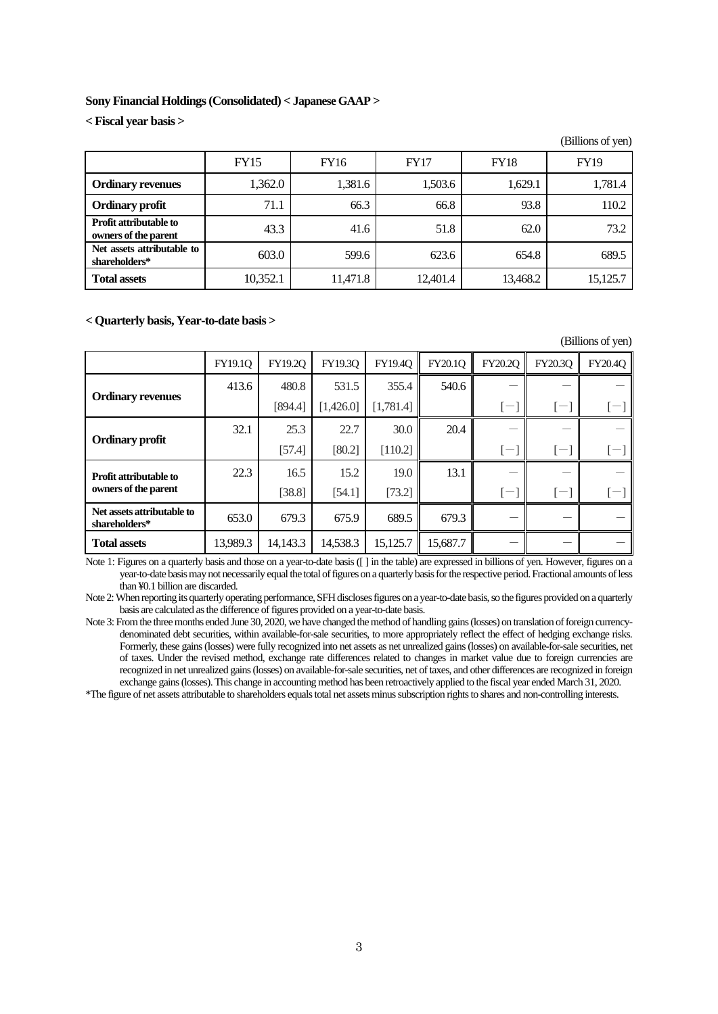## **Sony Financial Holdings (Consolidated) < Japanese GAAP >**

**< Fiscal year basis >** 

|                                                       |             |          |             |             | (Billions of yen) |
|-------------------------------------------------------|-------------|----------|-------------|-------------|-------------------|
|                                                       | <b>FY15</b> | FY16     | <b>FY17</b> | <b>FY18</b> | <b>FY19</b>       |
| <b>Ordinary revenues</b>                              | 1,362.0     | 1,381.6  | 1,503.6     | 1,629.1     | 1,781.4           |
| <b>Ordinary profit</b>                                | 71.1        | 66.3     | 66.8        | 93.8        | 110.2             |
| <b>Profit attributable to</b><br>owners of the parent | 43.3        | 41.6     | 51.8        | 62.0        | 73.2              |
| Net assets attributable to<br>shareholders*           | 603.0       | 599.6    | 623.6       | 654.8       | 689.5             |
| <b>Total assets</b>                                   | 10,352.1    | 11,471.8 | 12,401.4    | 13,468.2    | 15,125.7          |

#### **< Quarterly basis, Year-to-date basis >**

(Billions of yen)

|                                             | FY19.10  | FY19.20  | FY19.30   | FY19.40   | FY20.1O  | FY20.2O        | FY20.3O | <b>FY20.4O</b>           |
|---------------------------------------------|----------|----------|-----------|-----------|----------|----------------|---------|--------------------------|
| <b>Ordinary revenues</b>                    | 413.6    | 480.8    | 531.5     | 355.4     | 540.6    |                |         |                          |
|                                             |          | [894.4]  | [1,426.0] | [1,781.4] |          | l-.            | $(-)$   | $\epsilon$ <sup>--</sup> |
| <b>Ordinary profit</b>                      | 32.1     | 25.3     | 22.7      | 30.0      | 20.4     |                |         |                          |
|                                             |          | [57.4]   | [80.2]    | [110.2]   |          | l-.            | $[-]$   | $\epsilon$ <sup>--</sup> |
| <b>Profit attributable to</b>               | 22.3     | 16.5     | 15.2      | 19.0      | 13.1     |                |         |                          |
| owners of the parent                        |          | [38.8]   | [54.1]    | [73.2]    |          | $\overline{ }$ | $[-]$   | $\overline{\phantom{0}}$ |
| Net assets attributable to<br>shareholders* | 653.0    | 679.3    | 675.9     | 689.5     | 679.3    |                |         |                          |
| <b>Total assets</b>                         | 13,989.3 | 14,143.3 | 14,538.3  | 15,125.7  | 15,687.7 |                |         |                          |

Note 1: Figures on a quarterly basis and those on a year-to-date basis ([ ] in the table) are expressed in billions of yen. However, figures on a year-to-date basis may not necessarily equal the total of figures on a quarterly basis for the respective period. Fractional amounts of less than ¥0.1 billion are discarded.

Note 2: When reporting its quarterly operating performance, SFH discloses figures on a year-to-date basis, so the figures provided on a quarterly basis are calculated as the difference of figures provided on a year-to-date basis.

Note 3: From the three months ended June 30, 2020, we have changed the method of handling gains (losses) on translation of foreign currencydenominated debt securities, within available-for-sale securities, to more appropriately reflect the effect of hedging exchange risks. Formerly, these gains (losses) were fully recognized into net assets as net unrealized gains (losses) on available-for-sale securities, net of taxes. Under the revised method, exchange rate differences related to changes in market value due to foreign currencies are recognized in net unrealized gains (losses) on available-for-sale securities, net of taxes, and other differences are recognized in foreign exchange gains (losses). This change in accounting method has been retroactively applied to the fiscal year ended March 31, 2020.

\*The figure of net assets attributable to shareholders equals total net assets minus subscription rights to shares and non-controlling interests.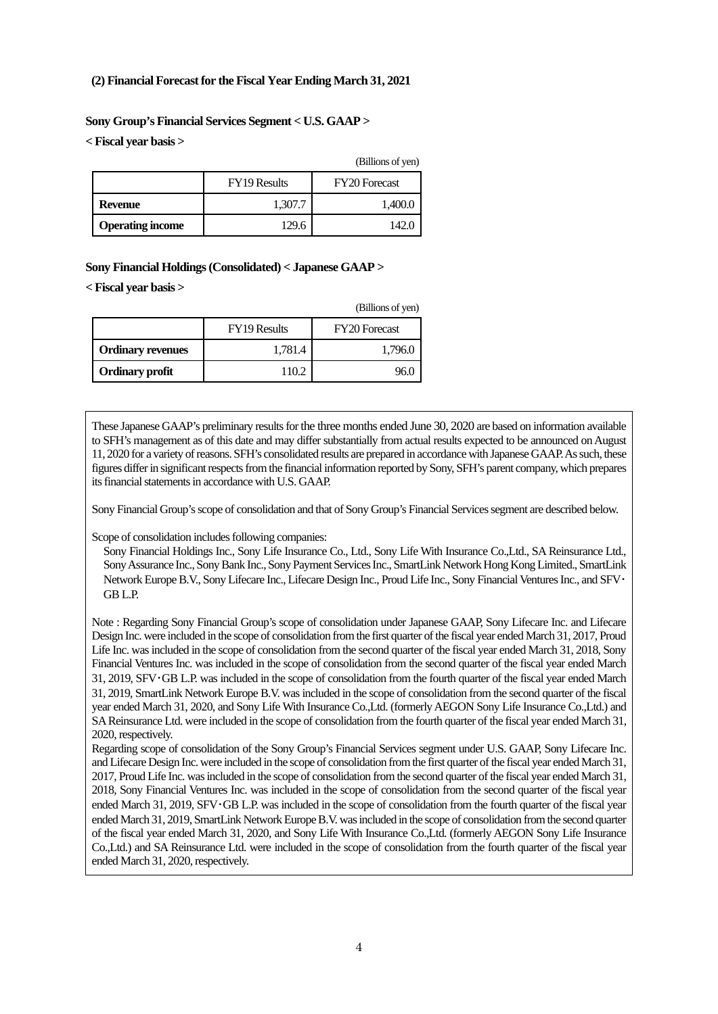# **(2) Financial Forecast for the Fiscal Year Ending March 31, 2021**

# **Sony Group's Financial Services Segment < U.S. GAAP >**

**< Fiscal year basis >** 

|                         |                     | (Billions of yen)    |
|-------------------------|---------------------|----------------------|
|                         | <b>FY19</b> Results | <b>FY20</b> Forecast |
| Revenue                 | 1,307.7             | 1,400.0              |
| <b>Operating income</b> | 129.6               | 142.0                |

# **Sony Financial Holdings (Consolidated) < Japanese GAAP >**

**< Fiscal year basis >** 

|                          |                     | (Billions of yen)    |
|--------------------------|---------------------|----------------------|
|                          | <b>FY19 Results</b> | <b>FY20</b> Forecast |
| <b>Ordinary revenues</b> | 1,781.4             | 1,796.0              |
| <b>Ordinary profit</b>   | 110.2               | 96.(                 |

These Japanese GAAP's preliminary results for the three months ended June 30, 2020 are based on information available to SFH's management as of this date and may differ substantially from actual results expected to be announced on August 11, 2020 for a variety of reasons. SFH's consolidated results are prepared in accordance with Japanese GAAP. As such, these figures differ in significant respects from the financial information reported by Sony, SFH's parent company, which prepares its financial statements in accordance with U.S. GAAP.

Sony Financial Group's scope of consolidation and that of Sony Group's Financial Services segment are described below.

Scope of consolidation includes following companies:

Sony Financial Holdings Inc., Sony Life Insurance Co., Ltd., Sony Life With Insurance Co.,Ltd., SA Reinsurance Ltd., Sony Assurance Inc., Sony Bank Inc., Sony Payment Services Inc., SmartLink Network Hong Kong Limited., SmartLink Network Europe B.V., Sony Lifecare Inc., Lifecare Design Inc., Proud Life Inc., Sony Financial Ventures Inc., and SFV・ GB L.P.

Note : Regarding Sony Financial Group's scope of consolidation under Japanese GAAP, Sony Lifecare Inc. and Lifecare Design Inc. were included in the scope of consolidation from the first quarter of the fiscal year ended March 31, 2017, Proud Life Inc. was included in the scope of consolidation from the second quarter of the fiscal year ended March 31, 2018, Sony Financial Ventures Inc. was included in the scope of consolidation from the second quarter of the fiscal year ended March 31, 2019, SFV・GB L.P. was included in the scope of consolidation from the fourth quarter of the fiscal year ended March 31, 2019, SmartLink Network Europe B.V. was included in the scope of consolidation from the second quarter of the fiscal year ended March 31, 2020, and Sony Life With Insurance Co.,Ltd. (formerly AEGON Sony Life Insurance Co.,Ltd.) and SA Reinsurance Ltd. were included in the scope of consolidation from the fourth quarter of the fiscal year ended March 31, 2020, respectively.

Regarding scope of consolidation of the Sony Group's Financial Services segment under U.S. GAAP, Sony Lifecare Inc. and Lifecare Design Inc. were included in the scope of consolidation from the first quarter of the fiscal year ended March 31, 2017, Proud Life Inc. was included in the scope of consolidation from the second quarter of the fiscal year ended March 31, 2018, Sony Financial Ventures Inc. was included in the scope of consolidation from the second quarter of the fiscal year ended March 31, 2019, SFV GB L.P. was included in the scope of consolidation from the fourth quarter of the fiscal year ended March 31, 2019, SmartLink Network Europe B.V. was included in the scope of consolidation from the second quarter of the fiscal year ended March 31, 2020, and Sony Life With Insurance Co.,Ltd. (formerly AEGON Sony Life Insurance Co.,Ltd.) and SA Reinsurance Ltd. were included in the scope of consolidation from the fourth quarter of the fiscal year ended March 31, 2020, respectively.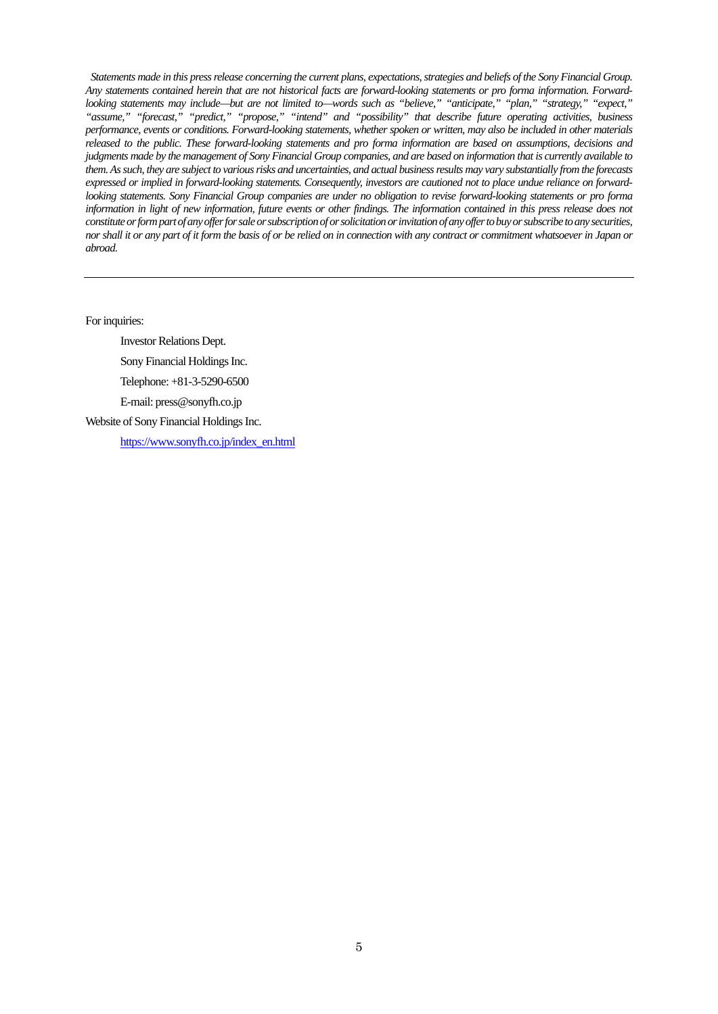*Statements made in this press release concerning the current plans, expectations, strategies and beliefs of the Sony Financial Group. Any statements contained herein that are not historical facts are forward-looking statements or pro forma information. Forwardlooking statements may include—but are not limited to—words such as "believe," "anticipate," "plan," "strategy," "expect," "assume," "forecast," "predict," "propose," "intend" and "possibility" that describe future operating activities, business performance, events or conditions. Forward-looking statements, whether spoken or written, may also be included in other materials released to the public. These forward-looking statements and pro forma information are based on assumptions, decisions and judgments made by the management of Sony Financial Group companies, and are based on information that is currently available to them. As such, they are subject to various risks and uncertainties, and actual business results may vary substantially from the forecasts expressed or implied in forward-looking statements. Consequently, investors are cautioned not to place undue reliance on forwardlooking statements. Sony Financial Group companies are under no obligation to revise forward-looking statements or pro forma*  information in light of new information, future events or other findings. The information contained in this press release does not *constitute or form part of any offer for sale or subscription of or solicitation or invitation of any offer to buy or subscribe to any securities, nor shall it or any part of it form the basis of or be relied on in connection with any contract or commitment whatsoever in Japan or abroad.*

For inquiries:

Investor Relations Dept.

Sony Financial Holdings Inc.

Telephone: +81-3-5290-6500

E-mail: press@sonyfh.co.jp

Website of Sony Financial Holdings Inc.

https://www.sonyfh.co.jp/index\_en.html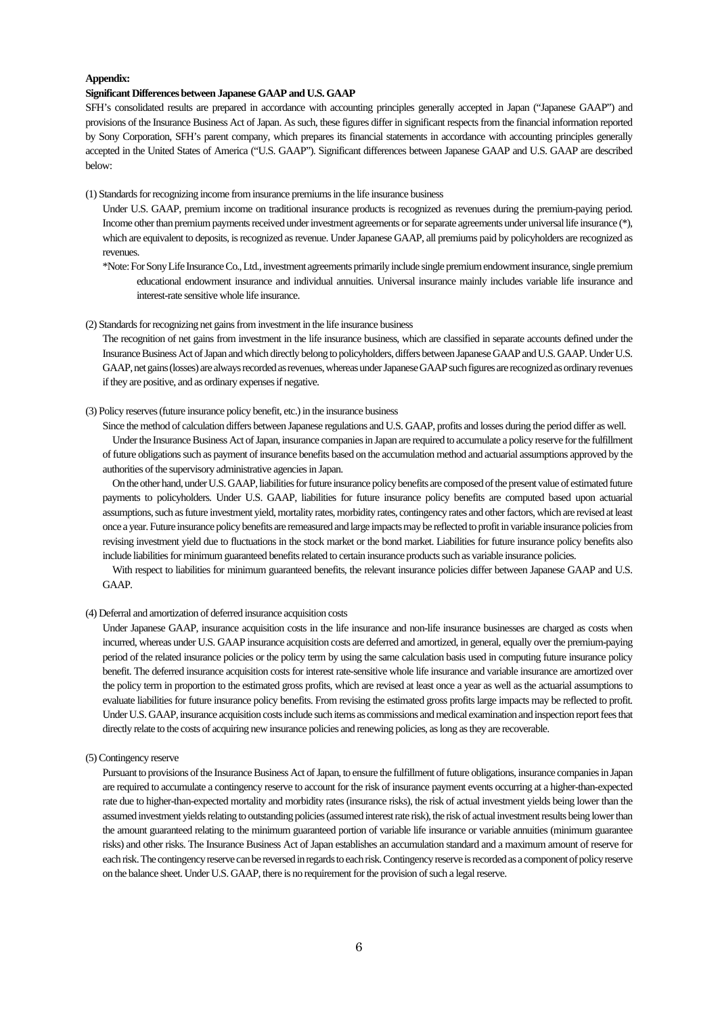#### **Appendix:**

#### **Significant Differences between Japanese GAAP and U.S. GAAP**

SFH's consolidated results are prepared in accordance with accounting principles generally accepted in Japan ("Japanese GAAP") and provisions of the Insurance Business Act of Japan. As such, these figures differ in significant respects from the financial information reported by Sony Corporation, SFH's parent company, which prepares its financial statements in accordance with accounting principles generally accepted in the United States of America ("U.S. GAAP"). Significant differences between Japanese GAAP and U.S. GAAP are described below:

(1) Standards for recognizing income from insurance premiums in the life insurance business

Under U.S. GAAP, premium income on traditional insurance products is recognized as revenues during the premium-paying period. Income other than premium payments received under investment agreements or for separate agreements under universal life insurance (\*), which are equivalent to deposits, is recognized as revenue. Under Japanese GAAP, all premiums paid by policyholders are recognized as revenues.

\*Note: For Sony Life Insurance Co., Ltd., investment agreements primarily include single premium endowment insurance, single premium educational endowment insurance and individual annuities. Universal insurance mainly includes variable life insurance and interest-rate sensitive whole life insurance.

(2) Standards for recognizing net gains from investment in the life insurance business

The recognition of net gains from investment in the life insurance business, which are classified in separate accounts defined under the Insurance Business Act of Japan and which directly belong to policyholders, differs between Japanese GAAP and U.S. GAAP. Under U.S. GAAP, net gains (losses) are always recorded as revenues, whereas under Japanese GAAP such figures are recognized as ordinary revenues if they are positive, and as ordinary expenses if negative.

(3) Policy reserves (future insurance policy benefit, etc.) in the insurance business

Since the method of calculation differs between Japanese regulations and U.S. GAAP, profits and losses during the period differ as well.

Under the Insurance Business Act of Japan, insurance companies in Japan are required to accumulate a policy reserve for the fulfillment of future obligations such as payment of insurance benefits based on the accumulation method and actuarial assumptions approved by the authorities of the supervisory administrative agencies in Japan.

On the other hand, under U.S. GAAP, liabilities for future insurance policy benefits are composed of the present value of estimated future payments to policyholders. Under U.S. GAAP, liabilities for future insurance policy benefits are computed based upon actuarial assumptions, such as future investment yield, mortality rates, morbidity rates, contingency rates and other factors, which are revised at least once a year. Future insurance policy benefits are remeasured and large impacts may be reflected to profit in variable insurance policies from revising investment yield due to fluctuations in the stock market or the bond market. Liabilities for future insurance policy benefits also include liabilities for minimum guaranteed benefits related to certain insurance products such as variable insurance policies.

With respect to liabilities for minimum guaranteed benefits, the relevant insurance policies differ between Japanese GAAP and U.S. GAAP.

## (4) Deferral and amortization of deferred insurance acquisition costs

Under Japanese GAAP, insurance acquisition costs in the life insurance and non-life insurance businesses are charged as costs when incurred, whereas under U.S. GAAP insurance acquisition costs are deferred and amortized, in general, equally over the premium-paying period of the related insurance policies or the policy term by using the same calculation basis used in computing future insurance policy benefit. The deferred insurance acquisition costs for interest rate-sensitive whole life insurance and variable insurance are amortized over the policy term in proportion to the estimated gross profits, which are revised at least once a year as well as the actuarial assumptions to evaluate liabilities for future insurance policy benefits. From revising the estimated gross profits large impacts may be reflected to profit. Under U.S. GAAP, insurance acquisition costs include such items as commissions and medical examination and inspection report fees that directly relate to the costs of acquiring new insurance policies and renewing policies, as long as they are recoverable.

(5) Contingency reserve

Pursuant to provisions of the Insurance Business Act of Japan, to ensure the fulfillment of future obligations, insurance companies in Japan are required to accumulate a contingency reserve to account for the risk of insurance payment events occurring at a higher-than-expected rate due to higher-than-expected mortality and morbidity rates (insurance risks), the risk of actual investment yields being lower than the assumed investment yields relating to outstanding policies (assumed interest rate risk), the risk of actual investment results being lower than the amount guaranteed relating to the minimum guaranteed portion of variable life insurance or variable annuities (minimum guarantee risks) and other risks. The Insurance Business Act of Japan establishes an accumulation standard and a maximum amount of reserve for each risk. The contingency reserve can be reversed in regards to each risk. Contingency reserve is recorded as a component of policy reserve on the balance sheet. Under U.S. GAAP, there is no requirement for the provision of such a legal reserve.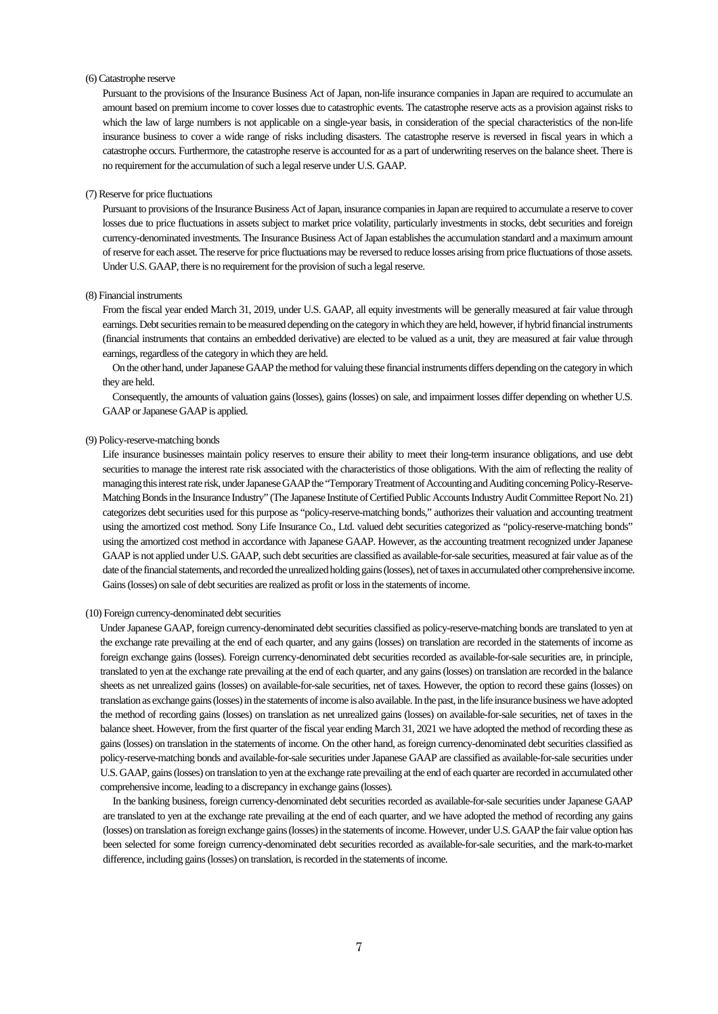#### (6) Catastrophe reserve

Pursuant to the provisions of the Insurance Business Act of Japan, non-life insurance companies in Japan are required to accumulate an amount based on premium income to cover losses due to catastrophic events. The catastrophe reserve acts as a provision against risks to which the law of large numbers is not applicable on a single-year basis, in consideration of the special characteristics of the non-life insurance business to cover a wide range of risks including disasters. The catastrophe reserve is reversed in fiscal years in which a catastrophe occurs. Furthermore, the catastrophe reserve is accounted for as a part of underwriting reserves on the balance sheet. There is no requirement for the accumulation of such a legal reserve under U.S. GAAP.

#### (7) Reserve for price fluctuations

Pursuant to provisions of the Insurance Business Act of Japan, insurance companies in Japan are required to accumulate a reserve to cover losses due to price fluctuations in assets subject to market price volatility, particularly investments in stocks, debt securities and foreign currency-denominated investments. The Insurance Business Act of Japan establishes the accumulation standard and a maximum amount of reserve for each asset. The reserve for price fluctuations may be reversed to reduce losses arising from price fluctuations of those assets. Under U.S. GAAP, there is no requirement for the provision of such a legal reserve.

#### (8) Financial instruments

From the fiscal year ended March 31, 2019, under U.S. GAAP, all equity investments will be generally measured at fair value through earnings. Debt securities remain to be measured depending on the category in which they are held, however, if hybrid financial instruments (financial instruments that contains an embedded derivative) are elected to be valued as a unit, they are measured at fair value through earnings, regardless of the category in which they are held.

On the other hand, under Japanese GAAP the method for valuing these financial instruments differs depending on the category in which they are held.

Consequently, the amounts of valuation gains (losses), gains (losses) on sale, and impairment losses differ depending on whether U.S. GAAP or Japanese GAAP is applied.

## (9) Policy-reserve-matching bonds

Life insurance businesses maintain policy reserves to ensure their ability to meet their long-term insurance obligations, and use debt securities to manage the interest rate risk associated with the characteristics of those obligations. With the aim of reflecting the reality of managing this interest rate risk, under Japanese GAAP the "Temporary Treatment of Accounting and Auditing concerning Policy-Reserve-Matching Bonds in the Insurance Industry" (The Japanese Institute of Certified Public Accounts Industry Audit Committee Report No. 21) categorizes debt securities used for this purpose as "policy-reserve-matching bonds," authorizes their valuation and accounting treatment using the amortized cost method. Sony Life Insurance Co., Ltd. valued debt securities categorized as "policy-reserve-matching bonds" using the amortized cost method in accordance with Japanese GAAP. However, as the accounting treatment recognized under Japanese GAAP is not applied under U.S. GAAP, such debt securities are classified as available-for-sale securities, measured at fair value as of the date of the financial statements, and recorded the unrealized holding gains (losses), net of taxes in accumulated other comprehensive income. Gains (losses) on sale of debt securities are realized as profit or loss in the statements of income.

#### (10) Foreign currency-denominated debt securities

 Under Japanese GAAP, foreign currency-denominated debt securities classified as policy-reserve-matching bonds are translated to yen at the exchange rate prevailing at the end of each quarter, and any gains (losses) on translation are recorded in the statements of income as foreign exchange gains (losses). Foreign currency-denominated debt securities recorded as available-for-sale securities are, in principle, translated to yen at the exchange rate prevailing at the end of each quarter, and any gains (losses) on translation are recorded in the balance sheets as net unrealized gains (losses) on available-for-sale securities, net of taxes. However, the option to record these gains (losses) on translation as exchange gains (losses) in the statements of income is also available. In the past, in the life insurance business we have adopted the method of recording gains (losses) on translation as net unrealized gains (losses) on available-for-sale securities, net of taxes in the balance sheet. However, from the first quarter of the fiscal year ending March 31, 2021 we have adopted the method of recording these as gains (losses) on translation in the statements of income. On the other hand, as foreign currency-denominated debt securities classified as policy-reserve-matching bonds and available-for-sale securities under Japanese GAAP are classified as available-for-sale securities under U.S. GAAP, gains (losses) on translation to yen at the exchange rate prevailing at the end of each quarter are recorded in accumulated other comprehensive income, leading to a discrepancy in exchange gains (losses).

In the banking business, foreign currency-denominated debt securities recorded as available-for-sale securities under Japanese GAAP are translated to yen at the exchange rate prevailing at the end of each quarter, and we have adopted the method of recording any gains (losses) on translation as foreign exchange gains (losses) in the statements of income. However, under U.S. GAAP the fair value option has been selected for some foreign currency-denominated debt securities recorded as available-for-sale securities, and the mark-to-market difference, including gains (losses) on translation, is recorded in the statements of income.